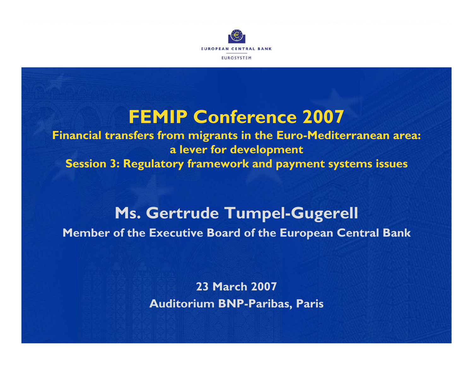

# **FEMIP Conference 2007**

**Financial transfers from migrants in the Euro-Mediterranean area: a lever for development Session 3: Regulatory framework and payment systems issues**

## **Ms. Gertrude Tumpel-Gugerell Member of the Executive Board of the European Central Bank**

**23 March 2007Auditorium BNP-Paribas, Paris**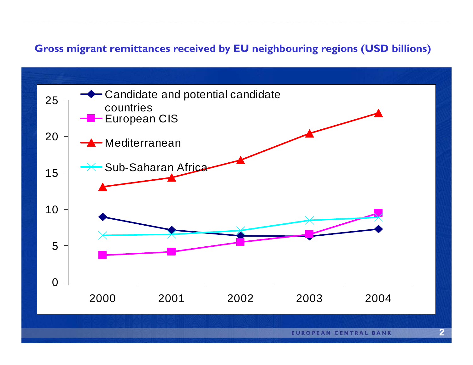#### **Gross migrant remittances received by EU neighbouring regions (USD billions)**

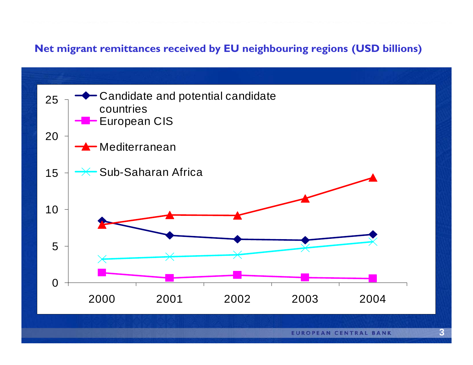#### **Net migrant remittances received by EU neighbouring regions (USD billions)**

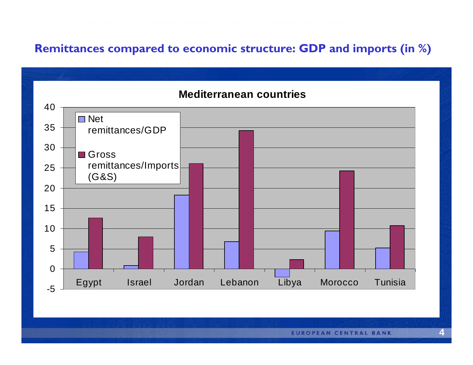#### Remittances compared to economic structure: GDP and imports (in %)

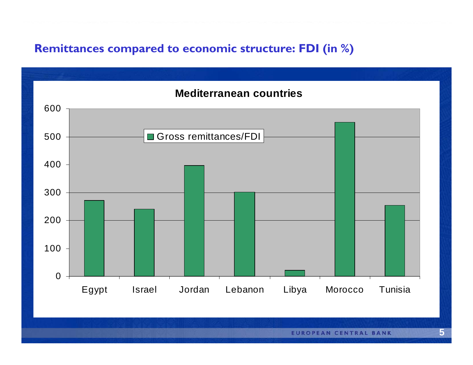## Remittances compared to economic structure: FDI (in %)

### **Mediterranean countries** 600 500 Gross remittances/FDI 400 300 200 100  $\overline{0}$ Jordan Lebanon Libya Morocco Tunisia Egypt **Israel**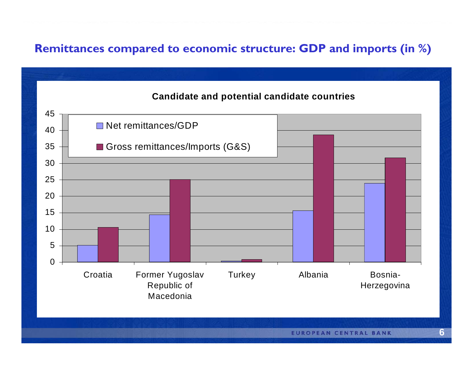### Remittances compared to economic structure: GDP and imports (in %)

#### **Candidate and potential candidate countries**